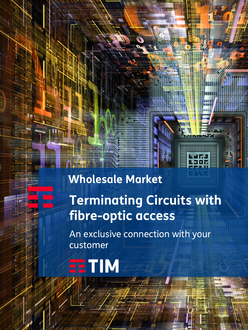# **Wholesale Market Terminating Circuits with fibre-optic access**

An exclusive connection with your customer

# **TE TIM**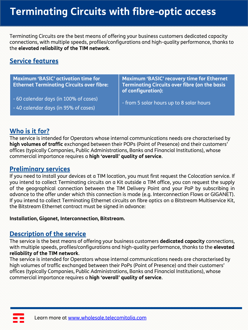# **Terminating Circuits with fibre-optic access**

Terminating Circuits are the best means of offering your business customers dedicated capacity connections, with multiple speeds, profiles/configurations and high-quality performance, thanks to the **elevated reliability of the TIM network**.

## **Service features**

**Maximum 'BASIC' activation time for Ethernet Terminating Circuits over fibre:**

- 60 calendar days (in 100% of cases)
- 40 calendar days (in 95% of cases)

**Maximum 'BASIC' recovery time for Ethernet Terminating Circuits over fibre (on the basis of configuration):**

- from 5 solar hours up to 8 solar hours

## **Who is it for?**

The service is intended for Operators whose internal communications needs are characterised by **high volumes of traffic** exchanged between their POPs (Point of Presence) and their customers' offices (typically Companies, Public Administrations, Banks and Financial Institutions), whose commercial importance requires a **high 'overall' quality of service**.

### **Preliminary services**

If you need to install your devices at a TIM location, you must first request the Colocation service. If you intend to collect Terminating circuits on a Kit outside a TIM office, you can request the supply of the geographical connection between the TIM Delivery Point and your PoP by subscribing in advance to the offer under which this connection is made (e.g. Interconnection Flows or GIGANET). If you intend to collect Terminating Ethernet circuits on fibre optics on a Bitstream Multiservice Kit, the Bitstream Ethernet contract must be signed in advance:

#### **Installation, Giganet, Interconnection, Bitstream.**

## **Description of the service**

The service is the best means of offering your business customers **dedicated capacity** connections, with multiple speeds, profiles/configurations and high-quality performance, thanks to the **elevated reliability of the TIM network**.

The service is intended for Operators whose internal communications needs are characterised by high volumes of traffic exchanged between their PoPs (Point of Presence) and their customers' offices (typically Companies, Public Administrations, Banks and Financial Institutions), whose commercial importance requires a **high 'overall' quality of service**.

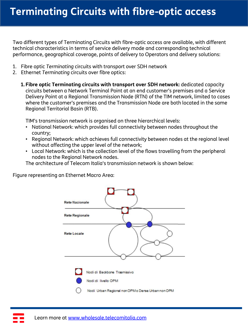Two different types of Terminating Circuits with fibre-optic access are available, with different technical characteristics in terms of service delivery mode and corresponding technical performance, geographical coverage, points of delivery to Operators and delivery solutions:

- 1. Fibre optic *Terminating* circuits with transport over SDH network
- 2. Ethernet *Terminating* circuits over fibre optics:
	- **1. Fibre optic Terminating circuits with transport over SDH network:** dedicated capacity circuits between a Network Terminal Point at an end customer's premises and a Service Delivery Point at a Regional Transmission Node (RTN) of the TIM network, limited to cases where the customer's premises and the Transmission Node are both located in the same Regional Territorial Basin (RTB).

TIM's transmission network is organised on three hierarchical levels:

- National Network: which provides full connectivity between nodes throughout the country;
- Regional Network: which achieves full connectivity between nodes at the regional level without affecting the upper level of the network;
- Local Network: which is the collection level of the flows travelling from the peripheral nodes to the Regional Network nodes.

The architecture of Telecom Italia's transmission network is shown below:

Figure representing an Ethernet Macro Area:

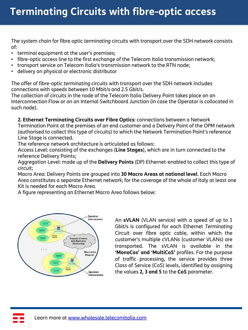# **Terminating Circuits with fibre-optic access**

The system chain for fibre optic *terminating* circuits with transport over the SDH network consists of:

- terminal equipment at the user's premises;
- fibre-optic access line to the first exchange of the Telecom Italia transmission network;
- transport service on Telecom Italia's transmission network to the RTN node;
- delivery on physical or electronic distributor

The offer of fibre-optic *terminating* circuits with transport over the SDH network includes connections with speeds between 10 Mbit/s and 2.5 Gbit/s.

The collection of circuits in the node of the Telecom Italia Delivery Point takes place on an Interconnection Flow or on an Internal Switchboard Junction (in case the Operator is collocated in such node).

#### **2. Ethernet Terminating Circuits over Fibre Optics**: connections between a Network

Termination Point at the premises of an end customer and a Delivery Point of the OPM network (authorised to collect this type of circuits) to which the Network Termination Point's reference Line Stage is connected.

The reference network architecture is articulated as follows:

Access Level: consisting of the exchanges (**Line Stages**), which are in turn connected to the reference Delivery Points;

Aggregation Level: made up of the **Delivery Points** (DP) Ethernet-enabled to collect this type of circuit;

Macro Area: Delivery Points are grouped into **30 Macro Areas at national level**. Each Macro Area constitutes a separate Ethernet network; for the coverage of the whole of Italy at least one Kit is needed for each Macro Area.

A figure representing an Ethernet Macro Area follows below:



An **sVLAN** (VLAN service) with a speed of up to 1 Gbit/s is configured for each Ethernet *Terminating* Circuit over fibre optic cable, within which the customer's multiple cVLANs (customer VLANs) are transported. The sVLAN is available in the **'MonoCos' and 'MultiCoS'** profiles. For the purpose of traffic processing, the service provides three Class of Service (CoS) levels, identified by assigning the values **2, 3 and 5** to the **CoS** parameter.

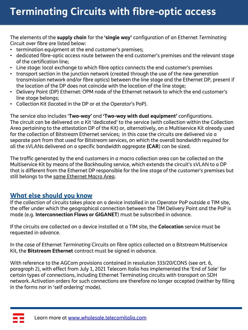# **Terminating Circuits with fibre-optic access**

The elements of the **supply chain** for the **'single way'** configuration of an Ethernet *Terminating* Circuit over fibre are listed below:

- termination equipment at the end customer's premises;
- dedicated fibre-optic access route between the end customer's premises and the relevant stage of the certification line;
- Line stage: local exchange to which fibre optics connects the end customer's premises
- transport section in the junction network (created through the use of the new generation transmission network and/or fibre optics) between the line stage and the Ethernet DP, present if the location of the DP does not coincide with the location of the line stage;
- Delivery Point (DP) Ethernet: OPM node of the Ethernet network to which the end customer's line stage belongs;
- Collection Kit (located in the DP or at the Operator's PoP).

The service also includes '**Two-way'** and **'Two-way with dual equipment'** configurations. The circuit can be delivered on a Kit 'dedicated' to the service (with collection within the Collection Area pertaining to the attestation DP of the Kit) or, alternatively, on a Multiservice Kit already used for the collection of Bitstream Ethernet services; in this case the circuits are delivered via a separate port from that used for Bitstream services, on which the overall bandwidth required for all the sVLANs delivered on a specific bandwidth aggregate **(CAR**) can be sized.

The traffic generated by the end customers in a macro collection area can be collected on the Multiservice Kit by means of the Backhauling service, which extends the circuit's sVLAN to a DP that is different from the Ethernet DP responsible for the line stage of the customer's premises but still belongs to the same Ethernet Macro Area.

### **What else should you know**

If the collection of circuits takes place on a device installed in an Operator PoP outside a TIM site, the offer under which the geographical connection between the TIM Delivery Point and the PoP is made (e.g. **Interconnection Flows or GIGANET**) must be subscribed in advance.

If the circuits are collected on a device installed at a TIM site, the **Colocation** service must be requested in advance.

In the case of Ethernet *Terminating* Circuits on fibre optics collected on a Bitstream Multiservice Kit, the **Bitstream Ethernet** contract must be signed in advance.

With reference to the AGCom provisions contained in resolution 333/20/CONS (see art. 6, paragraph 2), with effect from July 1, 2021 Telecom Italia has implemented the 'End of Sale' for certain types of connections, including Ethernet Terminating circuits with transport on SDH network. Activation orders for such connections are therefore no longer accepted (neither by filling in the forms nor in 'self ordering' mode).

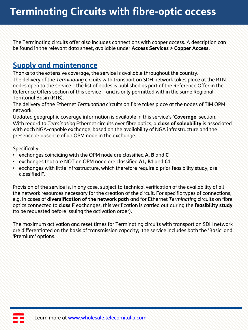The Terminating circuits offer also includes connections with copper access. A description can be found in the relevant data sheet, available under **Access Services > Copper Access**.

# **Supply and maintenance**

Thanks to the extensive coverage, the service is available throughout the country. The delivery of the *Terminating* circuits with transport on SDH network takes place at the RTN nodes open to the service – the list of nodes is published as part of the Reference Offer in the Reference Offers section of this service – and is only permitted within the same Regional Territorial Basin (RTB).

The delivery of the Ethernet *Terminating* circuits on fibre takes place at the nodes of TIM OPM network.

Updated geographic coverage information is available in this service's '**Coverage**' section. With regard to *Terminating* Ethernet circuits over fibre optics, a **class of saleability** is associated with each NGA-capable exchange, based on the availability of NGA infrastructure and the presence or absence of an OPM node in the exchange.

Specifically:

- exchanges coinciding with the OPM node are classified **A, B** and **C**
- exchanges that are NOT an OPM node are classified **A1, B1** and **C1**
- exchanges with little infrastructure, which therefore require a prior feasibility study, are classified **F.**

Provision of the service is, in any case, subject to technical verification of the availability of all the network resources necessary for the creation of the circuit. For specific types of connections, e.g. in cases of **diversification of the network path** and for Ethernet *Terminating* circuits on fibre optics connected to **class F** exchanges, this verification is carried out during the **feasibility study**  (to be requested before issuing the activation order).

The maximum activation and reset times for Terminating circuits with transport on SDH network are differentiated on the basis of transmission capacity; the service includes both the 'Basic' and 'Premium' options.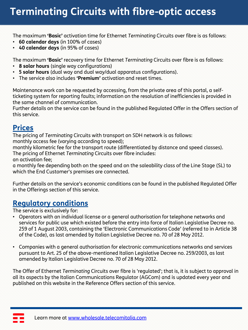# **Code Hosting with TIM Host Terminating Circuits with fibre-optic access**

The maximum **'Basic'** activation time for Ethernet *Terminating* Circuits over fibre is as follows:

- **60 calendar days** (in 100% of cases)
- **40 calendar days** (in 95% of cases)

The maximum **'Basic'** recovery time for Ethernet *Terminating* Circuits over fibre is as follows:

- **8 solar hours** (single way configurations)
- **5 solar hours** (dual way and dual way/dual apparatus configurations).
- The service also includes **'Premium'** activation and reset times.

Maintenance work can be requested by accessing, from the private area of this portal, a selfticketing system for reporting faults; information on the resolution of inefficiencies is provided in the same channel of communication.

Further details on the service can be found in the published Regulated Offer in the Offers section of this service.

## **Prices**

The pricing of *Terminating* Circuits with transport on SDH network is as follows: monthly access fee (varying according to speed);

monthly kilometric fee for the transport route (differentiated by distance and speed classes).

The pricing of Ethernet *Terminating* Circuits over fibre includes:

an activation fee;

a monthly fee depending both on the speed and on the saleability class of the Line Stage (SL) to which the End Customer's premises are connected.

Further details on the service's economic conditions can be found in the published Regulated Offer in the Offerings section of this service.

# **Regulatory conditions**

The service is exclusively for:

- Operators with an individual license or a general authorisation for telephone networks and services for public use which existed before the entry into force of Italian Legislative Decree no. 259 of 1 August 2003, containing the 'Electronic Communications Code' (referred to in Article 38 of the Code), as last amended by Italian Legislative Decree no. 70 of 28 May 2012.
- Companies with a general authorisation for electronic communications networks and services pursuant to Art. 25 of the above-mentioned Italian Legislative Decree no. 259/2003, as last amended by Italian Legislative Decree no. 70 of 28 May 2012.

The Offer of Ethernet *Terminating* Circuits over fibre is 'regulated'; that is, it is subject to approval in all its aspects by the Italian Communications Regulator (AGCom) and is updated every year and published on this website in the Reference Offers section of this service.